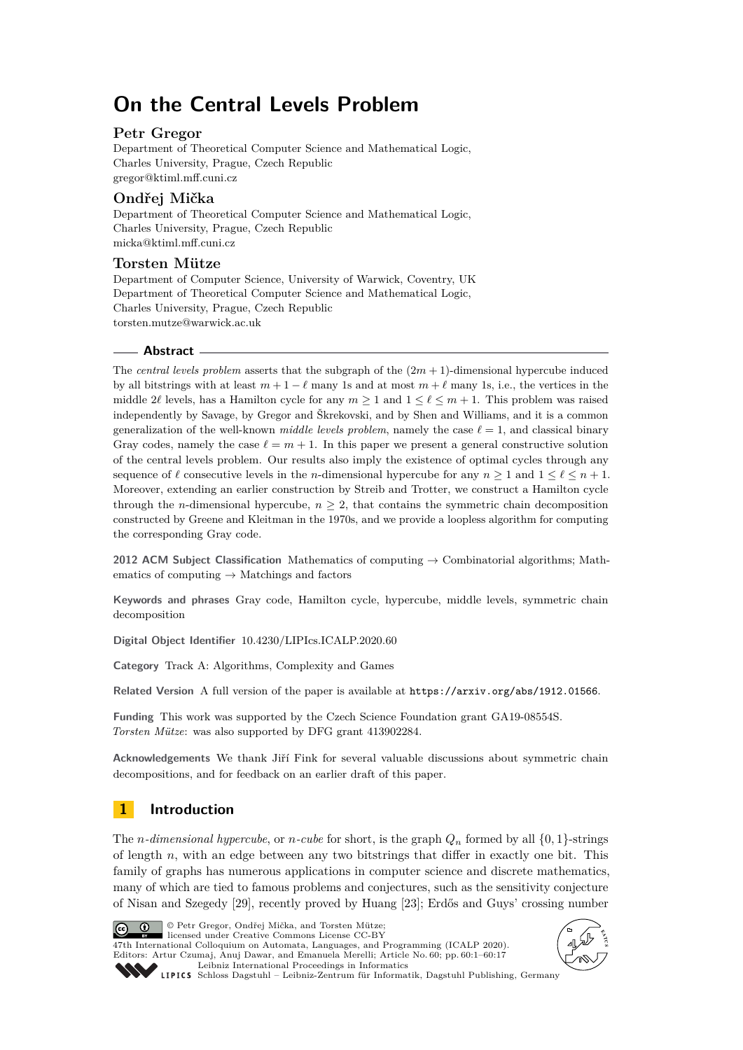# **On the Central Levels Problem**

## **Petr Gregor**

Department of Theoretical Computer Science and Mathematical Logic, Charles University, Prague, Czech Republic [gregor@ktiml.mff.cuni.cz](mailto:gregor@ktiml.mff.cuni.cz)

## **Ondřej Mička**

Department of Theoretical Computer Science and Mathematical Logic, Charles University, Prague, Czech Republic [micka@ktiml.mff.cuni.cz](mailto:micka@ktiml.mff.cuni.cz)

## **Torsten Mütze**

Department of Computer Science, University of Warwick, Coventry, UK Department of Theoretical Computer Science and Mathematical Logic, Charles University, Prague, Czech Republic [torsten.mutze@warwick.ac.uk](mailto:torsten.mutze@warwick.ac.uk)

## **Abstract**

The *central levels problem* asserts that the subgraph of the  $(2m + 1)$ -dimensional hypercube induced by all bitstrings with at least  $m + 1 - \ell$  many 1s and at most  $m + \ell$  many 1s, i.e., the vertices in the middle 2 $\ell$  levels, has a Hamilton cycle for any  $m \ge 1$  and  $1 \le \ell \le m + 1$ . This problem was raised independently by Savage, by Gregor and Škrekovski, and by Shen and Williams, and it is a common generalization of the well-known *middle levels problem*, namely the case  $\ell = 1$ , and classical binary Gray codes, namely the case  $\ell = m + 1$ . In this paper we present a general constructive solution of the central levels problem. Our results also imply the existence of optimal cycles through any sequence of  $\ell$  consecutive levels in the *n*-dimensional hypercube for any  $n \geq 1$  and  $1 \leq \ell \leq n + 1$ . Moreover, extending an earlier construction by Streib and Trotter, we construct a Hamilton cycle through the *n*-dimensional hypercube,  $n \geq 2$ , that contains the symmetric chain decomposition constructed by Greene and Kleitman in the 1970s, and we provide a loopless algorithm for computing the corresponding Gray code.

**2012 ACM Subject Classification** Mathematics of computing → Combinatorial algorithms; Mathematics of computing  $\rightarrow$  Matchings and factors

**Keywords and phrases** Gray code, Hamilton cycle, hypercube, middle levels, symmetric chain decomposition

**Digital Object Identifier** [10.4230/LIPIcs.ICALP.2020.60](https://doi.org/10.4230/LIPIcs.ICALP.2020.60)

**Category** Track A: Algorithms, Complexity and Games

**Related Version** A full version of the paper is available at <https://arxiv.org/abs/1912.01566>.

**Funding** This work was supported by the Czech Science Foundation grant GA19-08554S. *Torsten Mütze*: was also supported by DFG grant 413902284.

**Acknowledgements** We thank Jiří Fink for several valuable discussions about symmetric chain decompositions, and for feedback on an earlier draft of this paper.

## **1 Introduction**

The *n*-dimensional hypercube, or *n*-cube for short, is the graph  $Q_n$  formed by all  $\{0, 1\}$ -strings of length *n*, with an edge between any two bitstrings that differ in exactly one bit. This family of graphs has numerous applications in computer science and discrete mathematics, many of which are tied to famous problems and conjectures, such as the sensitivity conjecture of Nisan and Szegedy [\[29\]](#page-15-0), recently proved by Huang [\[23\]](#page-15-1); Erdős and Guys' crossing number



© Petr Gregor, Ondřej Mička, and Torsten Mütze; licensed under Creative Commons License CC-BY

47th International Colloquium on Automata, Languages, and Programming (ICALP 2020). Editors: Artur Czumaj, Anuj Dawar, and Emanuela Merelli; Article No. 60; pp. 60:1–60[:17](#page-16-0) [Leibniz International Proceedings in Informatics](https://www.dagstuhl.de/lipics/)



[Schloss Dagstuhl – Leibniz-Zentrum für Informatik, Dagstuhl Publishing, Germany](https://www.dagstuhl.de)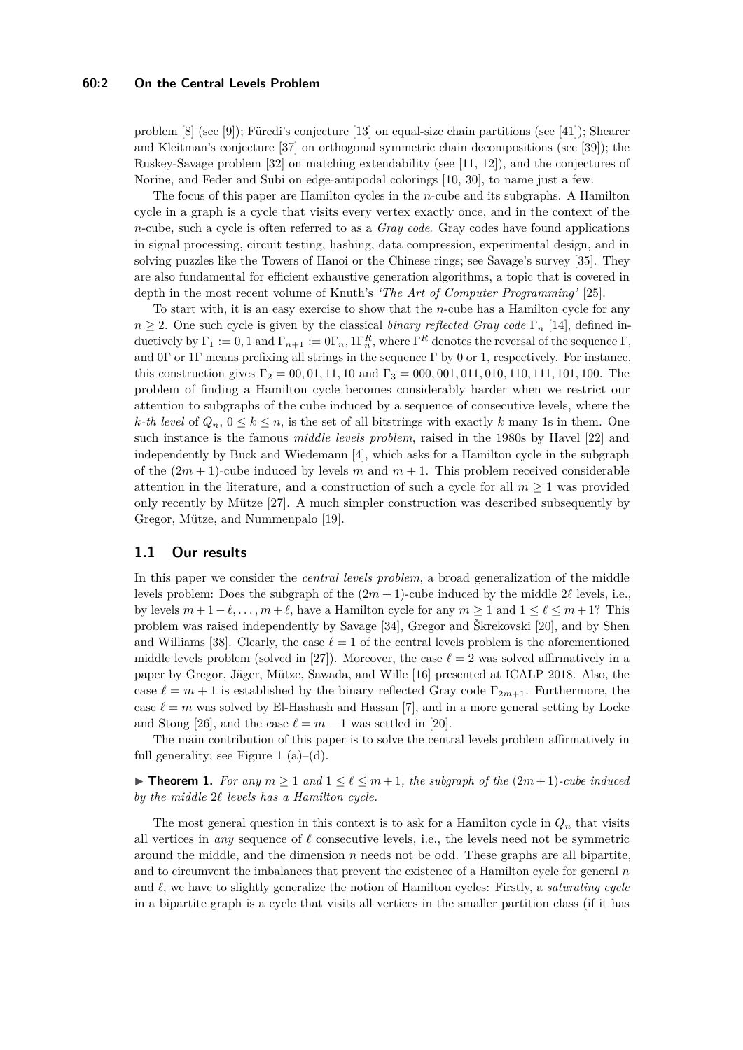#### **60:2 On the Central Levels Problem**

problem [\[8\]](#page-14-0) (see [\[9\]](#page-14-1)); Füredi's conjecture [\[13\]](#page-14-2) on equal-size chain partitions (see [\[41\]](#page-16-1)); Shearer and Kleitman's conjecture [\[37\]](#page-15-2) on orthogonal symmetric chain decompositions (see [\[39\]](#page-16-2)); the Ruskey-Savage problem [\[32\]](#page-15-3) on matching extendability (see [\[11,](#page-14-3) [12\]](#page-14-4)), and the conjectures of Norine, and Feder and Subi on edge-antipodal colorings [\[10,](#page-14-5) [30\]](#page-15-4), to name just a few.

The focus of this paper are Hamilton cycles in the *n*-cube and its subgraphs. A Hamilton cycle in a graph is a cycle that visits every vertex exactly once, and in the context of the *n*-cube, such a cycle is often referred to as a *Gray code*. Gray codes have found applications in signal processing, circuit testing, hashing, data compression, experimental design, and in solving puzzles like the Towers of Hanoi or the Chinese rings; see Savage's survey [\[35\]](#page-15-5). They are also fundamental for efficient exhaustive generation algorithms, a topic that is covered in depth in the most recent volume of Knuth's *'The Art of Computer Programming'* [\[25\]](#page-15-6).

To start with, it is an easy exercise to show that the *n*-cube has a Hamilton cycle for any  $n \geq 2$ . One such cycle is given by the classical *binary reflected Gray code*  $\Gamma_n$  [\[14\]](#page-14-6), defined inductively by  $\Gamma_1 := 0, 1$  and  $\Gamma_{n+1} := 0\Gamma_n, 1\Gamma_n^R$ , where  $\Gamma^R$  denotes the reversal of the sequence  $\Gamma$ , and 0Γ or 1Γ means prefixing all strings in the sequence Γ by 0 or 1, respectively. For instance, this construction gives  $\Gamma_2 = 0.001, 11, 10$  and  $\Gamma_3 = 0.000, 0.01, 0.01, 110, 111, 101, 100$ . The problem of finding a Hamilton cycle becomes considerably harder when we restrict our attention to subgraphs of the cube induced by a sequence of consecutive levels, where the *k*-th level of  $Q_n$ ,  $0 \leq k \leq n$ , is the set of all bitstrings with exactly *k* many 1s in them. One such instance is the famous *middle levels problem*, raised in the 1980s by Havel [\[22\]](#page-15-7) and independently by Buck and Wiedemann [\[4\]](#page-14-7), which asks for a Hamilton cycle in the subgraph of the  $(2m + 1)$ -cube induced by levels *m* and  $m + 1$ . This problem received considerable attention in the literature, and a construction of such a cycle for all  $m \geq 1$  was provided only recently by Mütze [\[27\]](#page-15-8). A much simpler construction was described subsequently by Gregor, Mütze, and Nummenpalo [\[19\]](#page-15-9).

## **1.1 Our results**

In this paper we consider the *central levels problem*, a broad generalization of the middle levels problem: Does the subgraph of the  $(2m + 1)$ -cube induced by the middle  $2\ell$  levels, i.e., by levels  $m + 1 - \ell, \ldots, m + \ell$ , have a Hamilton cycle for any  $m \ge 1$  and  $1 \le \ell \le m + 1$ ? This problem was raised independently by Savage [\[34\]](#page-15-10), Gregor and Škrekovski [\[20\]](#page-15-11), and by Shen and Williams [\[38\]](#page-16-3). Clearly, the case  $\ell = 1$  of the central levels problem is the aforementioned middle levels problem (solved in [\[27\]](#page-15-8)). Moreover, the case  $\ell = 2$  was solved affirmatively in a paper by Gregor, Jäger, Mütze, Sawada, and Wille [\[16\]](#page-15-12) presented at ICALP 2018. Also, the case  $\ell = m + 1$  is established by the binary reflected Gray code  $\Gamma_{2m+1}$ . Furthermore, the case  $\ell = m$  was solved by El-Hashash and Hassan [\[7\]](#page-14-8), and in a more general setting by Locke and Stong [\[26\]](#page-15-13), and the case  $\ell = m - 1$  was settled in [\[20\]](#page-15-11).

The main contribution of this paper is to solve the central levels problem affirmatively in full generality; see Figure [1](#page-3-0)  $(a)$ – $(d)$ .

<span id="page-1-0"></span>▶ **Theorem 1.** *For any*  $m \ge 1$  *and*  $1 \le \ell \le m+1$ *, the subgraph of the*  $(2m+1)$ *-cube induced by the middle* 2*` levels has a Hamilton cycle.*

The most general question in this context is to ask for a Hamilton cycle in  $Q_n$  that visits all vertices in *any* sequence of  $\ell$  consecutive levels, i.e., the levels need not be symmetric around the middle, and the dimension *n* needs not be odd. These graphs are all bipartite, and to circumvent the imbalances that prevent the existence of a Hamilton cycle for general *n* and  $\ell$ , we have to slightly generalize the notion of Hamilton cycles: Firstly, a *saturating cycle* in a bipartite graph is a cycle that visits all vertices in the smaller partition class (if it has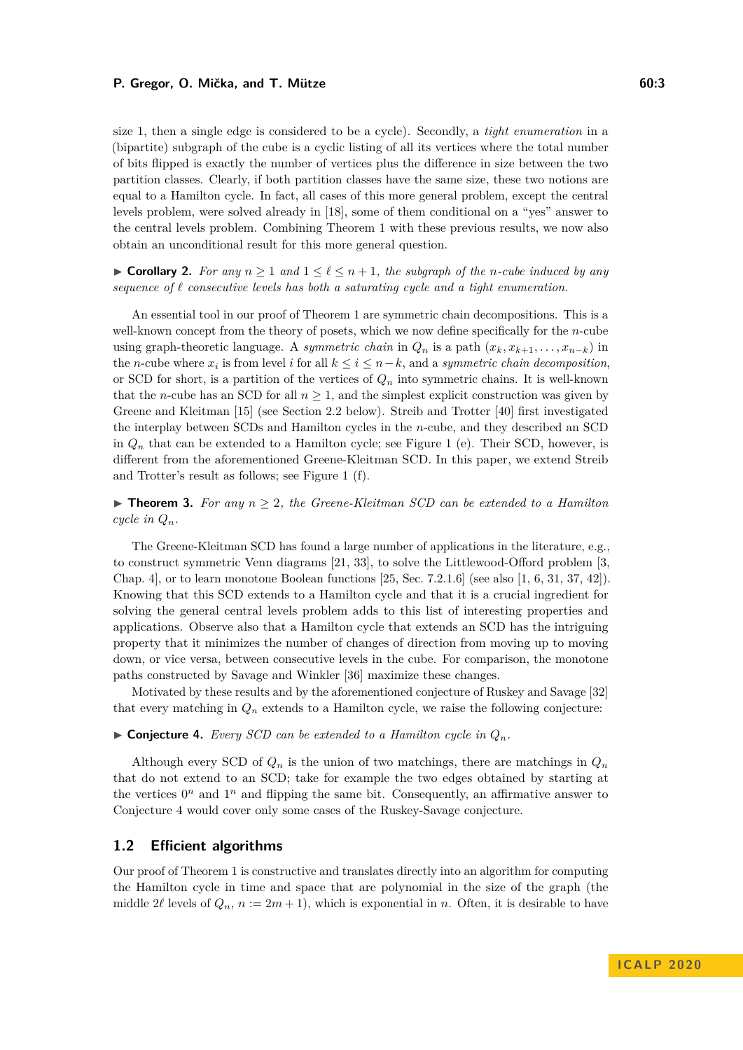size 1, then a single edge is considered to be a cycle). Secondly, a *tight enumeration* in a (bipartite) subgraph of the cube is a cyclic listing of all its vertices where the total number of bits flipped is exactly the number of vertices plus the difference in size between the two partition classes. Clearly, if both partition classes have the same size, these two notions are equal to a Hamilton cycle. In fact, all cases of this more general problem, except the central levels problem, were solved already in [\[18\]](#page-15-14), some of them conditional on a "yes" answer to the central levels problem. Combining Theorem [1](#page-1-0) with these previous results, we now also obtain an unconditional result for this more general question.

► **Corollary 2.** For any  $n \ge 1$  and  $1 \le \ell \le n+1$ , the subgraph of the *n*-cube induced by any sequence of  $\ell$  consecutive levels has both a saturating cycle and a tight enumeration.

An essential tool in our proof of Theorem [1](#page-1-0) are symmetric chain decompositions. This is a well-known concept from the theory of posets, which we now define specifically for the *n*-cube using graph-theoretic language. A *symmetric chain* in  $Q_n$  is a path  $(x_k, x_{k+1}, \ldots, x_{n-k})$  in the *n*-cube where  $x_i$  is from level *i* for all  $k \leq i \leq n-k$ , and a *symmetric chain decomposition*, or SCD for short, is a partition of the vertices of *Q<sup>n</sup>* into symmetric chains. It is well-known that the *n*-cube has an SCD for all  $n \geq 1$ , and the simplest explicit construction was given by Greene and Kleitman [\[15\]](#page-15-15) (see Section [2.2](#page-5-0) below). Streib and Trotter [\[40\]](#page-16-4) first investigated the interplay between SCDs and Hamilton cycles in the *n*-cube, and they described an SCD in  $Q_n$  that can be extended to a Hamilton cycle; see Figure [1](#page-3-0) (e). Their SCD, however, is different from the aforementioned Greene-Kleitman SCD. In this paper, we extend Streib and Trotter's result as follows; see Figure [1](#page-3-0) (f).

<span id="page-2-1"></span> $\triangleright$  **Theorem 3.** For any  $n \geq 2$ , the Greene-Kleitman SCD can be extended to a Hamilton *cycle in*  $Q_n$ *.* 

The Greene-Kleitman SCD has found a large number of applications in the literature, e.g., to construct symmetric Venn diagrams [\[21,](#page-15-16) [33\]](#page-15-17), to solve the Littlewood-Offord problem [\[3,](#page-14-9) Chap. 4], or to learn monotone Boolean functions [\[25,](#page-15-6) Sec. 7.2.1.6] (see also [\[1,](#page-14-10) [6,](#page-14-11) [31,](#page-15-18) [37,](#page-15-2) [42\]](#page-16-5)). Knowing that this SCD extends to a Hamilton cycle and that it is a crucial ingredient for solving the general central levels problem adds to this list of interesting properties and applications. Observe also that a Hamilton cycle that extends an SCD has the intriguing property that it minimizes the number of changes of direction from moving up to moving down, or vice versa, between consecutive levels in the cube. For comparison, the monotone paths constructed by Savage and Winkler [\[36\]](#page-15-19) maximize these changes.

Motivated by these results and by the aforementioned conjecture of Ruskey and Savage [\[32\]](#page-15-3) that every matching in  $Q_n$  extends to a Hamilton cycle, we raise the following conjecture:

<span id="page-2-0"></span> $\triangleright$  **Conjecture 4.** *Every SCD can be extended to a Hamilton cycle in*  $Q_n$ *.* 

Although every SCD of  $Q_n$  is the union of two matchings, there are matchings in  $Q_n$ that do not extend to an SCD; take for example the two edges obtained by starting at the vertices  $0^n$  and  $1^n$  and flipping the same bit. Consequently, an affirmative answer to Conjecture [4](#page-2-0) would cover only some cases of the Ruskey-Savage conjecture.

## **1.2 Efficient algorithms**

Our proof of Theorem [1](#page-1-0) is constructive and translates directly into an algorithm for computing the Hamilton cycle in time and space that are polynomial in the size of the graph (the middle 2 $\ell$  levels of  $Q_n$ ,  $n := 2m + 1$ , which is exponential in *n*. Often, it is desirable to have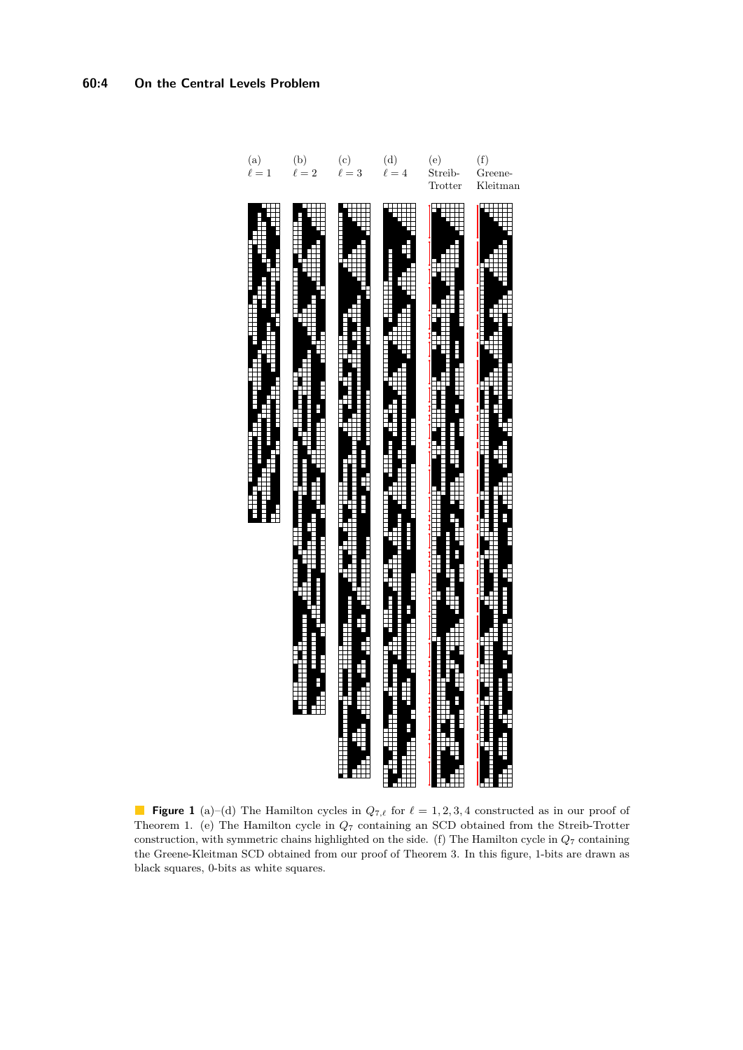<span id="page-3-0"></span>

**Figure 1** (a)–(d) The Hamilton cycles in  $Q_{7,\ell}$  for  $\ell = 1, 2, 3, 4$  constructed as in our proof of Theorem [1.](#page-1-0) (e) The Hamilton cycle in *Q*<sup>7</sup> containing an SCD obtained from the Streib-Trotter construction, with symmetric chains highlighted on the side. (f) The Hamilton cycle in *Q*<sup>7</sup> containing the Greene-Kleitman SCD obtained from our proof of Theorem [3.](#page-2-1) In this figure, 1-bits are drawn as black squares, 0-bits as white squares.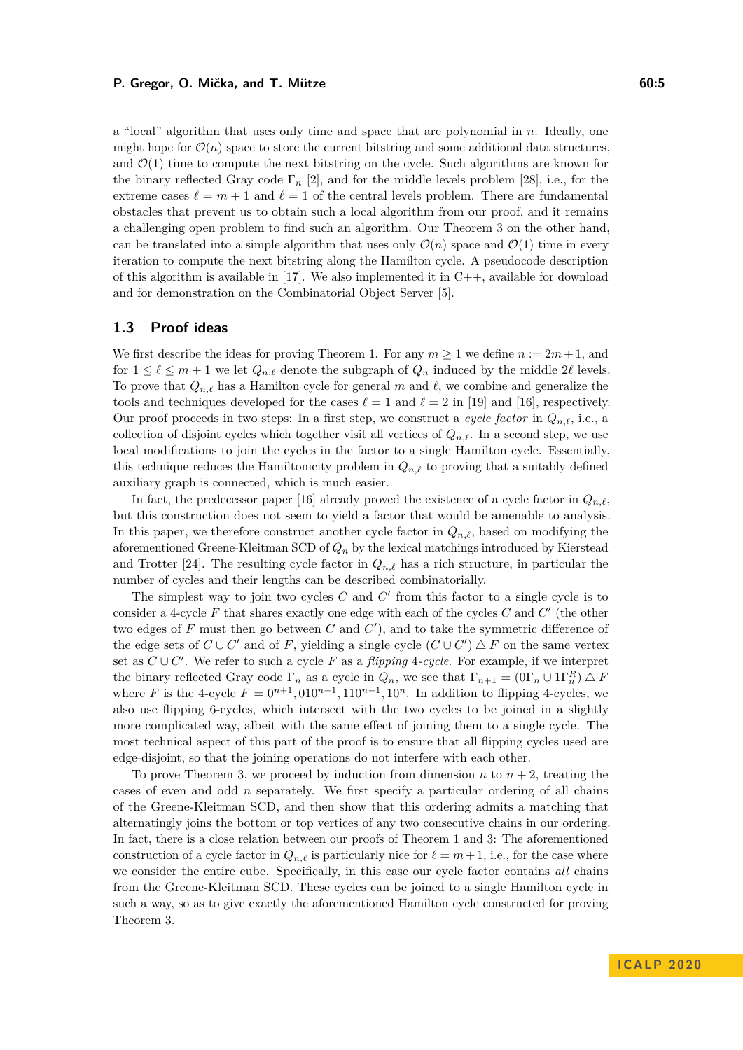a "local" algorithm that uses only time and space that are polynomial in *n*. Ideally, one might hope for  $\mathcal{O}(n)$  space to store the current bitstring and some additional data structures, and  $\mathcal{O}(1)$  time to compute the next bitstring on the cycle. Such algorithms are known for the binary reflected Gray code Γ*<sup>n</sup>* [\[2\]](#page-14-12), and for the middle levels problem [\[28\]](#page-15-20), i.e., for the extreme cases  $\ell = m + 1$  and  $\ell = 1$  of the central levels problem. There are fundamental obstacles that prevent us to obtain such a local algorithm from our proof, and it remains a challenging open problem to find such an algorithm. Our Theorem [3](#page-2-1) on the other hand, can be translated into a simple algorithm that uses only  $\mathcal{O}(n)$  space and  $\mathcal{O}(1)$  time in every iteration to compute the next bitstring along the Hamilton cycle. A pseudocode description of this algorithm is available in  $[17]$ . We also implemented it in  $C_{++}$ , available for download and for demonstration on the Combinatorial Object Server [\[5\]](#page-14-13).

#### <span id="page-4-0"></span>**1.3 Proof ideas**

We first describe the ideas for proving Theorem [1.](#page-1-0) For any  $m \ge 1$  we define  $n := 2m + 1$ , and for  $1 \leq \ell \leq m+1$  we let  $Q_{n,\ell}$  denote the subgraph of  $Q_n$  induced by the middle 2 $\ell$  levels. To prove that  $Q_{n,\ell}$  has a Hamilton cycle for general *m* and  $\ell$ , we combine and generalize the tools and techniques developed for the cases  $\ell = 1$  and  $\ell = 2$  in [\[19\]](#page-15-9) and [\[16\]](#page-15-12), respectively. Our proof proceeds in two steps: In a first step, we construct a *cycle factor* in  $Q_{n,\ell}$ , i.e., a collection of disjoint cycles which together visit all vertices of  $Q_{n,\ell}$ . In a second step, we use local modifications to join the cycles in the factor to a single Hamilton cycle. Essentially, this technique reduces the Hamiltonicity problem in  $Q_{n,\ell}$  to proving that a suitably defined auxiliary graph is connected, which is much easier.

In fact, the predecessor paper [\[16\]](#page-15-12) already proved the existence of a cycle factor in  $Q_{n,\ell}$ , but this construction does not seem to yield a factor that would be amenable to analysis. In this paper, we therefore construct another cycle factor in  $Q_{n,\ell}$ , based on modifying the aforementioned Greene-Kleitman SCD of *Q<sup>n</sup>* by the lexical matchings introduced by Kierstead and Trotter [\[24\]](#page-15-22). The resulting cycle factor in  $Q_{n,\ell}$  has a rich structure, in particular the number of cycles and their lengths can be described combinatorially.

The simplest way to join two cycles  $C$  and  $C'$  from this factor to a single cycle is to consider a 4-cycle  $F$  that shares exactly one edge with each of the cycles  $C$  and  $C'$  (the other two edges of  $F$  must then go between  $C$  and  $C'$ ), and to take the symmetric difference of the edge sets of  $C \cup C'$  and of *F*, yielding a single cycle  $(C \cup C') \triangle F$  on the same vertex set as  $C \cup C'$ . We refer to such a cycle *F* as a *flipping* 4*-cycle*. For example, if we interpret the binary reflected Gray code  $\Gamma_n$  as a cycle in  $Q_n$ , we see that  $\Gamma_{n+1} = (0\Gamma_n \cup 1\Gamma_n^R) \triangle F$ where *F* is the 4-cycle  $F = 0^{n+1}$ ,  $010^{n-1}$ ,  $110^{n-1}$ ,  $10^n$ . In addition to flipping 4-cycles, we also use flipping 6-cycles, which intersect with the two cycles to be joined in a slightly more complicated way, albeit with the same effect of joining them to a single cycle. The most technical aspect of this part of the proof is to ensure that all flipping cycles used are edge-disjoint, so that the joining operations do not interfere with each other.

To prove Theorem [3,](#page-2-1) we proceed by induction from dimension *n* to  $n + 2$ , treating the cases of even and odd *n* separately. We first specify a particular ordering of all chains of the Greene-Kleitman SCD, and then show that this ordering admits a matching that alternatingly joins the bottom or top vertices of any two consecutive chains in our ordering. In fact, there is a close relation between our proofs of Theorem [1](#page-1-0) and [3:](#page-2-1) The aforementioned construction of a cycle factor in  $Q_{n,\ell}$  is particularly nice for  $\ell = m + 1$ , i.e., for the case where we consider the entire cube. Specifically, in this case our cycle factor contains *all* chains from the Greene-Kleitman SCD. These cycles can be joined to a single Hamilton cycle in such a way, so as to give exactly the aforementioned Hamilton cycle constructed for proving Theorem [3.](#page-2-1)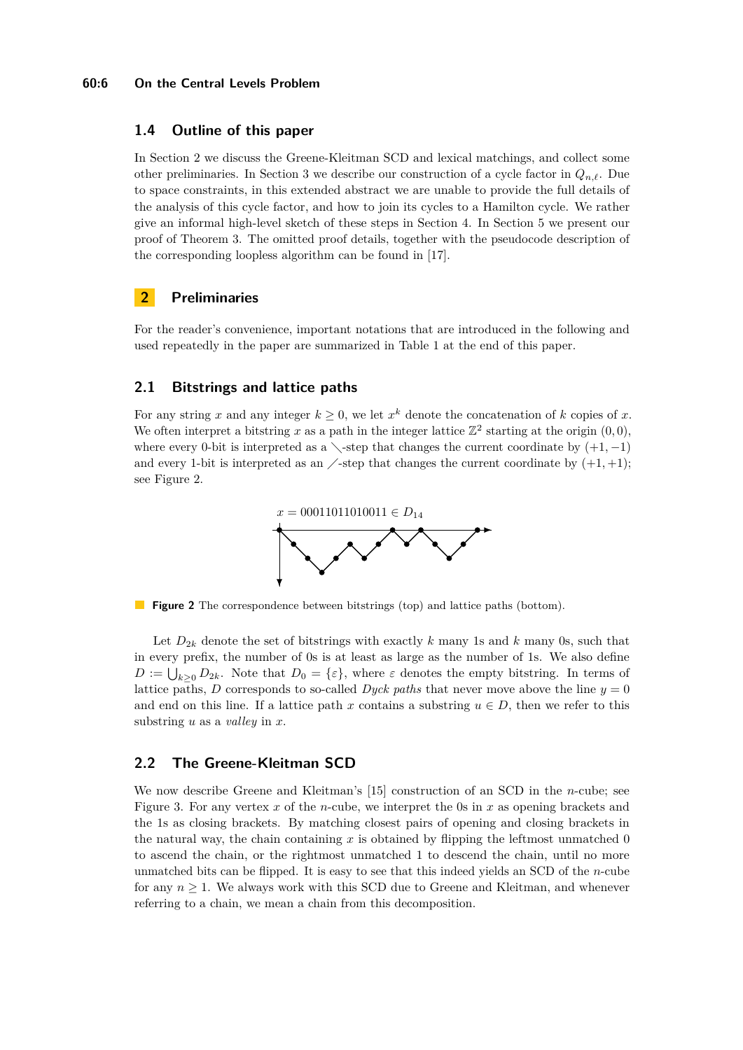#### **60:6 On the Central Levels Problem**

## **1.4 Outline of this paper**

In Section [2](#page-5-1) we discuss the Greene-Kleitman SCD and lexical matchings, and collect some other preliminaries. In Section [3](#page-8-0) we describe our construction of a cycle factor in  $Q_{n,\ell}$ . Due to space constraints, in this extended abstract we are unable to provide the full details of the analysis of this cycle factor, and how to join its cycles to a Hamilton cycle. We rather give an informal high-level sketch of these steps in Section [4.](#page-10-0) In Section [5](#page-11-0) we present our proof of Theorem [3.](#page-2-1) The omitted proof details, together with the pseudocode description of the corresponding loopless algorithm can be found in [\[17\]](#page-15-21).

## <span id="page-5-1"></span>**2 Preliminaries**

For the reader's convenience, important notations that are introduced in the following and used repeatedly in the paper are summarized in Table [1](#page-14-14) at the end of this paper.

## **2.1 Bitstrings and lattice paths**

<span id="page-5-2"></span>For any string x and any integer  $k \geq 0$ , we let  $x^k$  denote the concatenation of k copies of x. We often interpret a bitstring x as a path in the integer lattice  $\mathbb{Z}^2$  starting at the origin  $(0,0)$ , where every 0-bit is interpreted as a  $\setminus$ -step that changes the current coordinate by  $(+1, -1)$ and every 1-bit is interpreted as an  $\angle$ -step that changes the current coordinate by  $(+1, +1);$ see Figure [2.](#page-5-2)



**Figure 2** The correspondence between bitstrings (top) and lattice paths (bottom).

Let  $D_{2k}$  denote the set of bitstrings with exactly k many 1s and k many 0s, such that in every prefix, the number of 0s is at least as large as the number of 1s. We also define  $D := \bigcup_{k \geq 0} D_{2k}$ . Note that  $D_0 = {\varepsilon}$ , where  $\varepsilon$  denotes the empty bitstring. In terms of lattice paths, *D* corresponds to so-called *Dyck paths* that never move above the line  $y = 0$ and end on this line. If a lattice path *x* contains a substring  $u \in D$ , then we refer to this substring *u* as a *valley* in *x*.

## <span id="page-5-0"></span>**2.2 The Greene-Kleitman SCD**

We now describe Greene and Kleitman's [\[15\]](#page-15-15) construction of an SCD in the *n*-cube; see Figure [3.](#page-6-0) For any vertex *x* of the *n*-cube, we interpret the 0s in *x* as opening brackets and the 1s as closing brackets. By matching closest pairs of opening and closing brackets in the natural way, the chain containing  $x$  is obtained by flipping the leftmost unmatched 0 to ascend the chain, or the rightmost unmatched 1 to descend the chain, until no more unmatched bits can be flipped. It is easy to see that this indeed yields an SCD of the *n*-cube for any  $n \geq 1$ . We always work with this SCD due to Greene and Kleitman, and whenever referring to a chain, we mean a chain from this decomposition.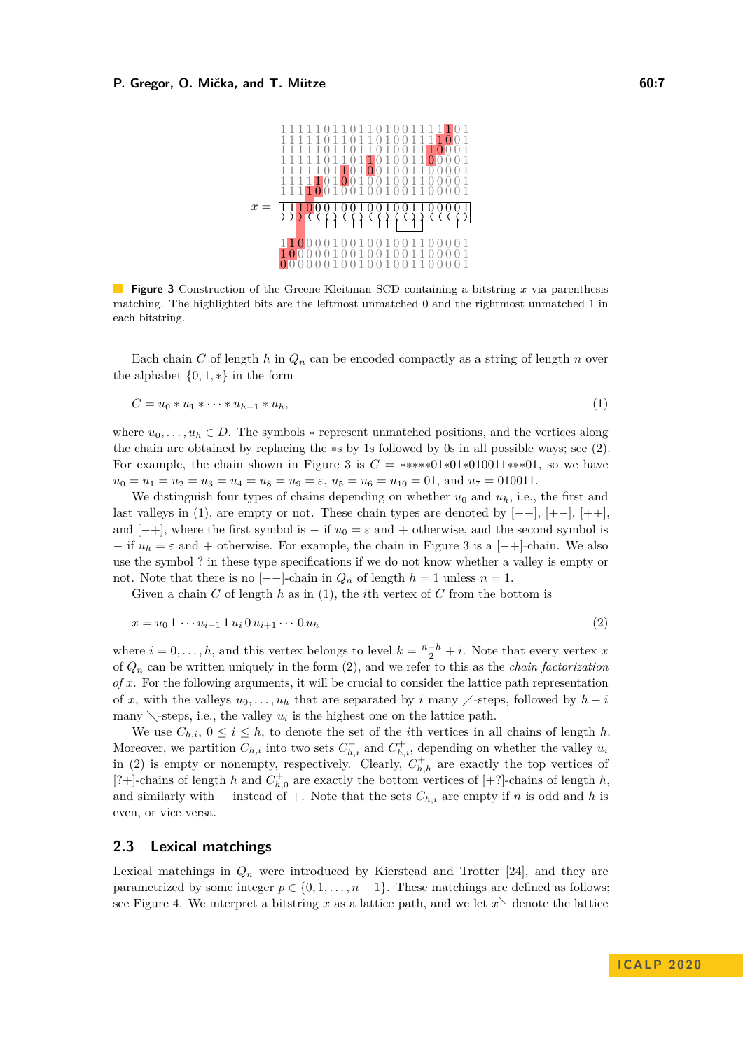<span id="page-6-0"></span>

**Figure 3** Construction of the Greene-Kleitman SCD containing a bitstring x via parenthesis matching. The highlighted bits are the leftmost unmatched 0 and the rightmost unmatched 1 in each bitstring.

Each chain *C* of length *h* in  $Q_n$  can be encoded compactly as a string of length *n* over the alphabet  $\{0, 1, *\}$  in the form

<span id="page-6-2"></span>
$$
C = u_0 * u_1 * \dots * u_{h-1} * u_h,
$$
\n(1)

where  $u_0, \ldots, u_h \in D$ . The symbols  $*$  represent unmatched positions, and the vertices along the chain are obtained by replacing the ∗s by 1s followed by 0s in all possible ways; see [\(2\)](#page-6-1). For example, the chain shown in Figure [3](#page-6-0) is  $C = ****01*01*010011***01$ , so we have  $u_0 = u_1 = u_2 = u_3 = u_4 = u_8 = u_9 = \varepsilon$ ,  $u_5 = u_6 = u_{10} = 01$ , and  $u_7 = 010011$ .

We distinguish four types of chains depending on whether  $u_0$  and  $u_h$ , i.e., the first and last valleys in [\(1\)](#page-6-2), are empty or not. These chain types are denoted by  $[--]$ ,  $[+-]$ ,  $[++]$ , and  $[-+]$ , where the first symbol is – if  $u_0 = \varepsilon$  and + otherwise, and the second symbol is  $-$  if  $u_h = \varepsilon$  and  $+$  otherwise. For example, the chain in Figure [3](#page-6-0) is a  $[-+]-$ chain. We also use the symbol ? in these type specifications if we do not know whether a valley is empty or not. Note that there is no  $[-]-$ -chain in  $Q_n$  of length  $h = 1$  unless  $n = 1$ .

<span id="page-6-1"></span>Given a chain *C* of length *h* as in [\(1\)](#page-6-2), the *i*th vertex of *C* from the bottom is

$$
x = u_0 \, 1 \, \cdots \, u_{i-1} \, 1 \, u_i \, 0 \, u_{i+1} \cdots \, 0 \, u_h \tag{2}
$$

where  $i = 0, \ldots, h$ , and this vertex belongs to level  $k = \frac{n-h}{2} + i$ . Note that every vertex *x* of *Q<sup>n</sup>* can be written uniquely in the form [\(2\)](#page-6-1), and we refer to this as the *chain factorization of x*. For the following arguments, it will be crucial to consider the lattice path representation of x, with the valleys  $u_0, \ldots, u_h$  that are separated by i many  $\angle$ -steps, followed by  $h - i$ many  $\setminus$ -steps, i.e., the valley  $u_i$  is the highest one on the lattice path.

We use  $C_{h,i}$ ,  $0 \leq i \leq h$ , to denote the set of the *i*th vertices in all chains of length *h*. Moreover, we partition  $C_{h,i}$  into two sets  $C_{h,i}^-$  and  $C_{h,i}^+$ , depending on whether the valley  $u_i$ in [\(2\)](#page-6-1) is empty or nonempty, respectively. Clearly,  $C_{h,h}^+$  are exactly the top vertices of [?+]-chains of length *h* and  $C_{h,0}^+$  are exactly the bottom vertices of [+?]-chains of length *h*, and similarly with – instead of +. Note that the sets  $C_{h,i}$  are empty if *n* is odd and *h* is even, or vice versa.

## **2.3 Lexical matchings**

Lexical matchings in  $Q_n$  were introduced by Kierstead and Trotter [\[24\]](#page-15-22), and they are parametrized by some integer  $p \in \{0, 1, \ldots, n-1\}$ . These matchings are defined as follows; see Figure [4.](#page-7-0) We interpret a bitstring x as a lattice path, and we let  $x^{\setminus}$  denote the lattice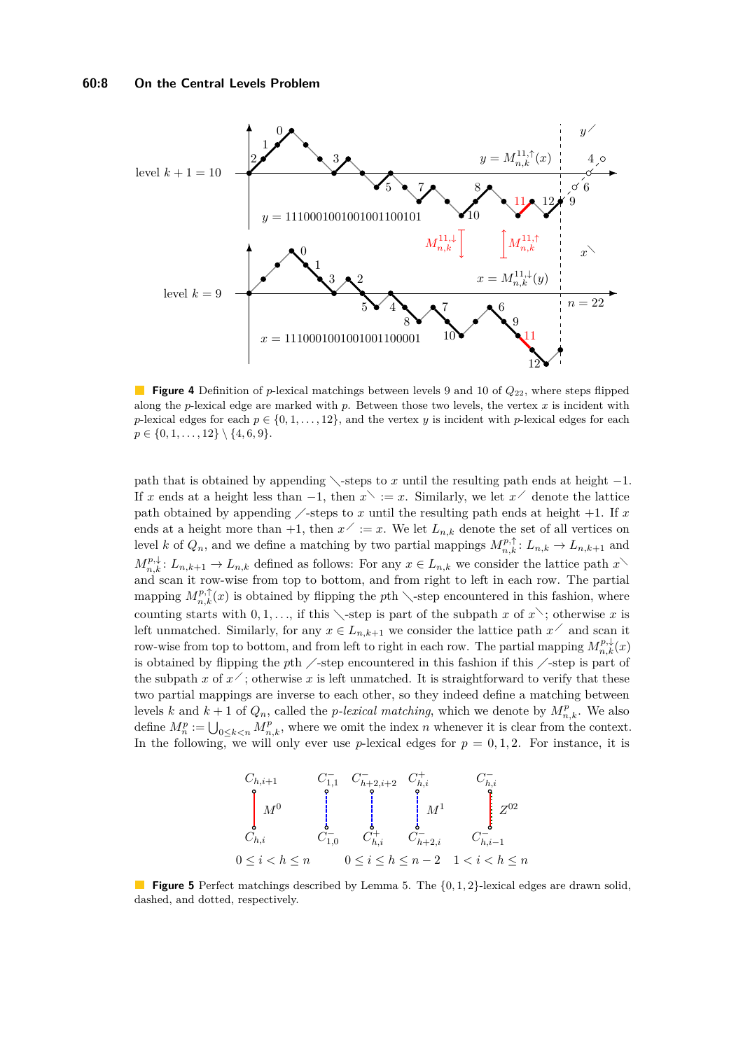<span id="page-7-0"></span>

**Figure 4** Definition of *p*-lexical matchings between levels 9 and 10 of  $Q_{22}$ , where steps flipped along the *p*-lexical edge are marked with *p*. Between those two levels, the vertex *x* is incident with *p*-lexical edges for each  $p \in \{0, 1, \ldots, 12\}$ , and the vertex *y* is incident with *p*-lexical edges for each  $p \in \{0, 1, \ldots, 12\} \setminus \{4, 6, 9\}.$ 

path that is obtained by appending  $\searrow$ -steps to *x* until the resulting path ends at height  $-1$ . If *x* ends at a height less than  $-1$ , then  $x^{\searrow} := x$ . Similarly, we let  $x^{\nearrow}$  denote the lattice path obtained by appending  $\angle$ -steps to *x* until the resulting path ends at height +1. If *x* ends at a height more than  $+1$ , then  $x' := x$ . We let  $L_{n,k}$  denote the set of all vertices on level *k* of  $Q_n$ , and we define a matching by two partial mappings  $M_{n,k}^{p,\uparrow}$ :  $L_{n,k} \to L_{n,k+1}$  and  $M_{n,k}^{p,\downarrow}$ :  $L_{n,k+1} \to L_{n,k}$  defined as follows: For any  $x \in L_{n,k}$  we consider the lattice path  $x$ and scan it row-wise from top to bottom, and from right to left in each row. The partial mapping  $M_{n,k}^{p,\uparrow}(x)$  is obtained by flipping the *p*th  $\setminus$ -step encountered in this fashion, where counting starts with  $0, 1, \ldots$ , if this  $\setminus$ -step is part of the subpath *x* of *x* $\setminus$ ; otherwise *x* is left unmatched. Similarly, for any  $x \in L_{n,k+1}$  we consider the lattice path  $x^{\nearrow}$  and scan it row-wise from top to bottom, and from left to right in each row. The partial mapping  $M_{n,k}^{p,\downarrow}(x)$ is obtained by flipping the *p*th  $\angle$ -step encountered in this fashion if this  $\angle$ -step is part of the subpath *x* of  $x^2$ ; otherwise *x* is left unmatched. It is straightforward to verify that these two partial mappings are inverse to each other, so they indeed define a matching between levels *k* and  $k + 1$  of  $Q_n$ , called the *p*-lexical matching, which we denote by  $M_{n,k}^p$ . We also define  $M_n^p := \bigcup_{0 \leq k < n} M_{n,k}^p$ , where we omit the index *n* whenever it is clear from the context. In the following, we will only ever use *p*-lexical edges for  $p = 0, 1, 2$ . For instance, it is

<span id="page-7-1"></span>

**Figure 5** Perfect matchings described by Lemma [5.](#page-8-1) The {0*,* 1*,* 2}-lexical edges are drawn solid, dashed, and dotted, respectively.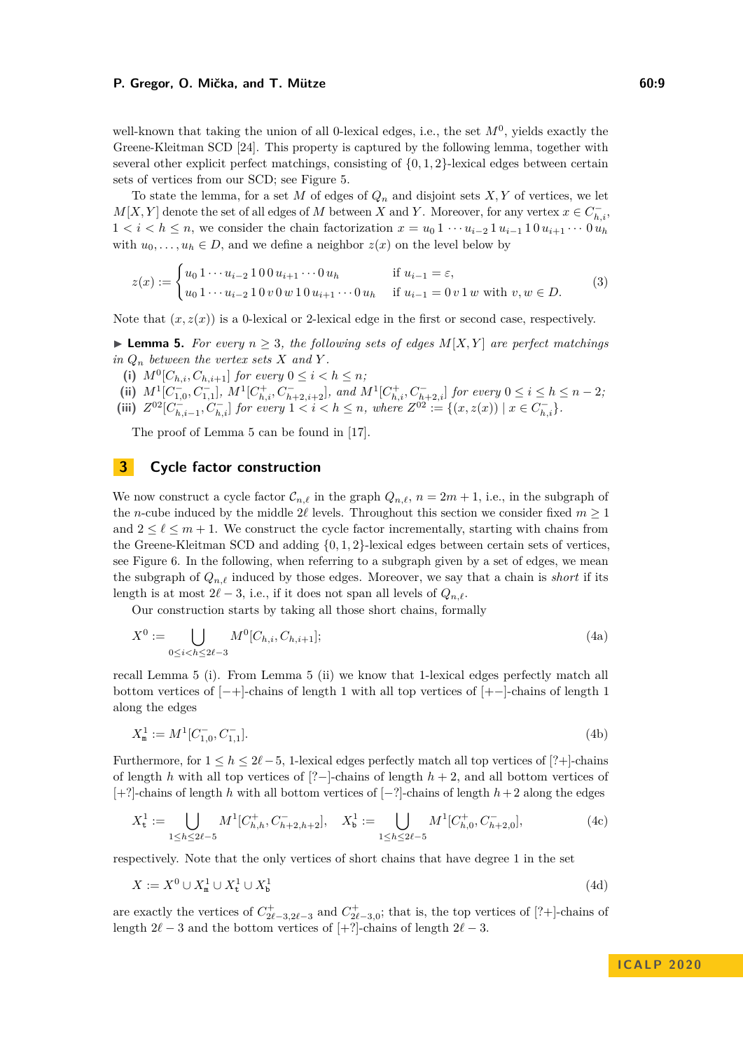well-known that taking the union of all 0-lexical edges, i.e., the set  $M<sup>0</sup>$ , yields exactly the Greene-Kleitman SCD [\[24\]](#page-15-22). This property is captured by the following lemma, together with several other explicit perfect matchings, consisting of {0*,* 1*,* 2}-lexical edges between certain sets of vertices from our SCD; see Figure [5.](#page-7-1)

To state the lemma, for a set  $M$  of edges of  $Q_n$  and disjoint sets  $X, Y$  of vertices, we let  $M[X, Y]$  denote the set of all edges of *M* between *X* and *Y*. Moreover, for any vertex  $x \in C_{h,i}^-$ , 1 *< i < h* ≤ *n*, we consider the chain factorization  $x = u_0 1 \cdots u_{i-2} 1 u_{i-1} 1 0 u_{i+1} \cdots 0 u_h$ with  $u_0, \ldots, u_h \in D$ , and we define a neighbor  $z(x)$  on the level below by

$$
z(x) := \begin{cases} u_0 1 \cdots u_{i-2} 1 0 0 u_{i+1} \cdots 0 u_h & \text{if } u_{i-1} = \varepsilon, \\ u_0 1 \cdots u_{i-2} 1 0 v 0 w 1 0 u_{i+1} \cdots 0 u_h & \text{if } u_{i-1} = 0 v 1 w \text{ with } v, w \in D. \end{cases}
$$
(3)

Note that  $(x, z(x))$  is a 0-lexical or 2-lexical edge in the first or second case, respectively.

<span id="page-8-1"></span>▶ **Lemma 5.** *For every*  $n \geq 3$ *, the following sets of edges*  $M[X, Y]$  *are perfect matchings in*  $Q_n$  *between the vertex sets*  $X$  *and*  $Y$ *.* 

- (i)  $M^0[C_{h,i}, C_{h,i+1}]$  *for every*  $0 \le i < h \le n$ ;
- (ii)  $M^1[C_{1,0}^-, C_{1,1}^-]$ ,  $M^1[C_{h,i}^+, C_{h+2,i+2}^-]$ , and  $M^1[C_{h,i}^+, C_{h+2,i}^-]$  for every  $0 \le i \le h \le n-2$ , (iii)  $Z^{02}[C_{h,i-1}^{-}, C_{h,i}^{-}]$  for every  $1 < i < h \leq n$ , where  $Z^{02} := \{(x, z(x)) \mid x \in C_{h,i}^{-}\}.$

The proof of Lemma [5](#page-8-1) can be found in [\[17\]](#page-15-21).

## <span id="page-8-0"></span>**3 Cycle factor construction**

We now construct a cycle factor  $\mathcal{C}_{n,\ell}$  in the graph  $Q_{n,\ell}, n = 2m + 1$ , i.e., in the subgraph of the *n*-cube induced by the middle 2 $\ell$  levels. Throughout this section we consider fixed  $m \geq 1$ and  $2 \leq \ell \leq m + 1$ . We construct the cycle factor incrementally, starting with chains from the Greene-Kleitman SCD and adding {0*,* 1*,* 2}-lexical edges between certain sets of vertices, see Figure [6.](#page-10-1) In the following, when referring to a subgraph given by a set of edges, we mean the subgraph of  $Q_{n,\ell}$  induced by those edges. Moreover, we say that a chain is *short* if its length is at most  $2\ell - 3$ , i.e., if it does not span all levels of  $Q_n$ .

Our construction starts by taking all those short chains, formally

$$
X^{0} := \bigcup_{0 \le i < h \le 2\ell - 3} M^{0}[C_{h,i}, C_{h,i+1}];\tag{4a}
$$

recall Lemma [5](#page-8-1) (i). From Lemma [5](#page-8-1) (ii) we know that 1-lexical edges perfectly match all bottom vertices of [−+]-chains of length 1 with all top vertices of [+−]-chains of length 1 along the edges

$$
X_{\mathbf{m}}^1 := M^1[C_{1,0}^-, C_{1,1}^-].
$$
\n(4b)

Furthermore, for  $1 \leq h \leq 2\ell-5$ , 1-lexical edges perfectly match all top vertices of [?+]-chains of length *h* with all top vertices of [?−]-chains of length *h* + 2, and all bottom vertices of [+?]-chains of length *h* with all bottom vertices of [−?]-chains of length *h*+ 2 along the edges

$$
X_{\mathbf{t}}^1 := \bigcup_{1 \le h \le 2\ell - 5} M^1[C_{h,h}^+, C_{h+2,h+2}^-], \quad X_{\mathbf{b}}^1 := \bigcup_{1 \le h \le 2\ell - 5} M^1[C_{h,0}^+, C_{h+2,0}^-],\tag{4c}
$$

respectively. Note that the only vertices of short chains that have degree 1 in the set

$$
X := X^0 \cup X^1_{\mathbf{m}} \cup X^1_{\mathbf{t}} \cup X^1_{\mathbf{b}} \tag{4d}
$$

are exactly the vertices of  $C_{2\ell-3,2\ell-3}^+$  and  $C_{2\ell-3,0}^+$ ; that is, the top vertices of [?+]-chains of length  $2\ell - 3$  and the bottom vertices of [+?]-chains of length  $2\ell - 3$ .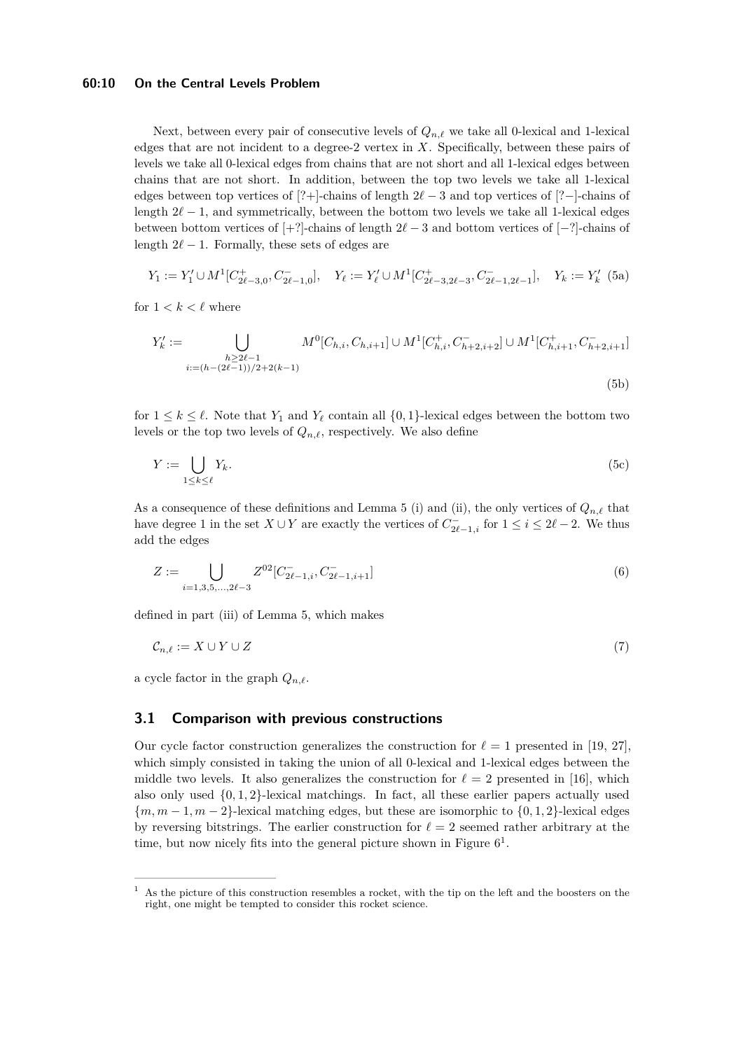#### **60:10 On the Central Levels Problem**

Next, between every pair of consecutive levels of  $Q_{n,\ell}$  we take all 0-lexical and 1-lexical edges that are not incident to a degree-2 vertex in *X*. Specifically, between these pairs of levels we take all 0-lexical edges from chains that are not short and all 1-lexical edges between chains that are not short. In addition, between the top two levels we take all 1-lexical edges between top vertices of [?+]-chains of length 2*`* − 3 and top vertices of [?−]-chains of length  $2\ell - 1$ , and symmetrically, between the bottom two levels we take all 1-lexical edges between bottom vertices of  $[+?]$ -chains of length  $2\ell - 3$  and bottom vertices of  $[-?]$ -chains of length  $2\ell - 1$ . Formally, these sets of edges are

$$
Y_1 := Y_1' \cup M^1[C_{2\ell-3,0}^+, C_{2\ell-1,0}^-], \quad Y_\ell := Y_\ell' \cup M^1[C_{2\ell-3,2\ell-3}^+, C_{2\ell-1,2\ell-1}^-], \quad Y_k := Y_k' \tag{5a}
$$

for  $1 < k < \ell$  where

$$
Y'_{k} := \bigcup_{\substack{h \ge 2\ell - 1 \\ i := (h - (2\ell - 1))/2 + 2(k - 1)}} M^{0}[C_{h,i}, C_{h,i+1}] \cup M^{1}[C_{h,i}^{+}, C_{h+2, i+2}^{-}] \cup M^{1}[C_{h,i+1}^{+}, C_{h+2, i+1}^{-}] \tag{5b}
$$

for  $1 \leq k \leq \ell$ . Note that  $Y_1$  and  $Y_\ell$  contain all  $\{0,1\}$ -lexical edges between the bottom two levels or the top two levels of  $Q_{n,\ell}$ , respectively. We also define

$$
Y := \bigcup_{1 \le k \le \ell} Y_k. \tag{5c}
$$

As a consequence of these definitions and Lemma [5](#page-8-1) (i) and (ii), the only vertices of  $Q_{n,\ell}$  that have degree 1 in the set  $X \cup Y$  are exactly the vertices of  $C_{2\ell-1,i}^-$  for  $1 \leq i \leq 2\ell-2$ . We thus add the edges

<span id="page-9-1"></span>
$$
Z := \bigcup_{i=1,3,5,\dots,2\ell-3} Z^{02} [C_{2\ell-1,i}^{-}, C_{2\ell-1,i+1}^{-}]
$$
\n
$$
(6)
$$

defined in part (iii) of Lemma [5,](#page-8-1) which makes

$$
\mathcal{C}_{n,\ell} := X \cup Y \cup Z \tag{7}
$$

a cycle factor in the graph  $Q_{n,\ell}$ .

## **3.1 Comparison with previous constructions**

Our cycle factor construction generalizes the construction for  $\ell = 1$  presented in [\[19,](#page-15-9) [27\]](#page-15-8), which simply consisted in taking the union of all 0-lexical and 1-lexical edges between the middle two levels. It also generalizes the construction for  $\ell = 2$  presented in [\[16\]](#page-15-12), which also only used {0*,* 1*,* 2}-lexical matchings. In fact, all these earlier papers actually used  ${m, m-1, m-2}$ -lexical matching edges, but these are isomorphic to  ${0, 1, 2}$ -lexical edges by reversing bitstrings. The earlier construction for  $\ell = 2$  seemed rather arbitrary at the time, but now nicely fits into the general picture shown in Figure  $6<sup>1</sup>$  $6<sup>1</sup>$  $6<sup>1</sup>$ .

<span id="page-9-0"></span> $1$  As the picture of this construction resembles a rocket, with the tip on the left and the boosters on the right, one might be tempted to consider this rocket science.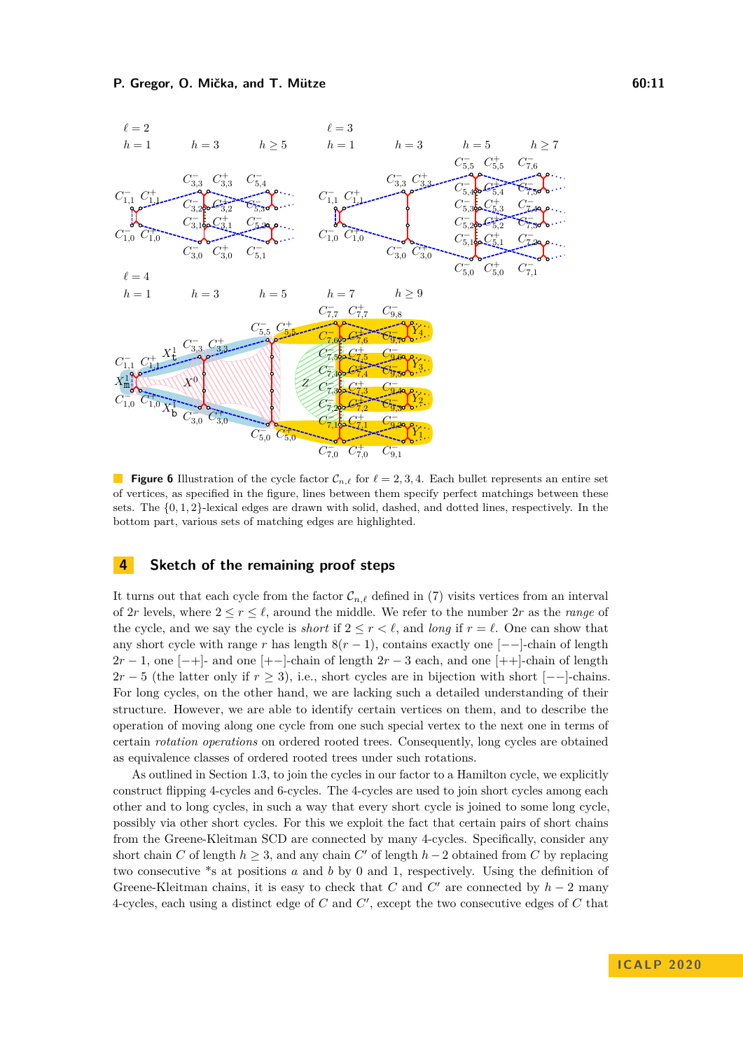<span id="page-10-1"></span>

**Figure 6** Illustration of the cycle factor  $\mathcal{C}_{n,\ell}$  for  $\ell = 2, 3, 4$ . Each bullet represents an entire set of vertices, as specified in the figure, lines between them specify perfect matchings between these sets. The {0*,* 1*,* 2}-lexical edges are drawn with solid, dashed, and dotted lines, respectively. In the bottom part, various sets of matching edges are highlighted.

## <span id="page-10-0"></span>**4 Sketch of the remaining proof steps**

It turns out that each cycle from the factor  $\mathcal{C}_{n,\ell}$  defined in [\(7\)](#page-9-1) visits vertices from an interval of 2*r* levels, where  $2 \le r \le \ell$ , around the middle. We refer to the number 2*r* as the *range* of the cycle, and we say the cycle is *short* if  $2 \leq r < \ell$ , and *long* if  $r = \ell$ . One can show that any short cycle with range *r* has length  $8(r - 1)$ , contains exactly one [--]-chain of length  $2r-1$ , one  $[-+]$ - and one  $[+-]$ -chain of length  $2r-3$  each, and one  $[++]$ -chain of length  $2r - 5$  (the latter only if  $r \ge 3$ ), i.e., short cycles are in bijection with short [−−]-chains. For long cycles, on the other hand, we are lacking such a detailed understanding of their structure. However, we are able to identify certain vertices on them, and to describe the operation of moving along one cycle from one such special vertex to the next one in terms of certain *rotation operations* on ordered rooted trees. Consequently, long cycles are obtained as equivalence classes of ordered rooted trees under such rotations.

As outlined in Section [1.3,](#page-4-0) to join the cycles in our factor to a Hamilton cycle, we explicitly construct flipping 4-cycles and 6-cycles. The 4-cycles are used to join short cycles among each other and to long cycles, in such a way that every short cycle is joined to some long cycle, possibly via other short cycles. For this we exploit the fact that certain pairs of short chains from the Greene-Kleitman SCD are connected by many 4-cycles. Specifically, consider any short chain *C* of length  $h \geq 3$ , and any chain *C'* of length  $h-2$  obtained from *C* by replacing two consecutive \*s at positions *a* and *b* by 0 and 1, respectively. Using the definition of Greene-Kleitman chains, it is easy to check that  $C$  and  $C'$  are connected by  $h-2$  many 4-cycles, each using a distinct edge of  $C$  and  $C'$ , except the two consecutive edges of  $C$  that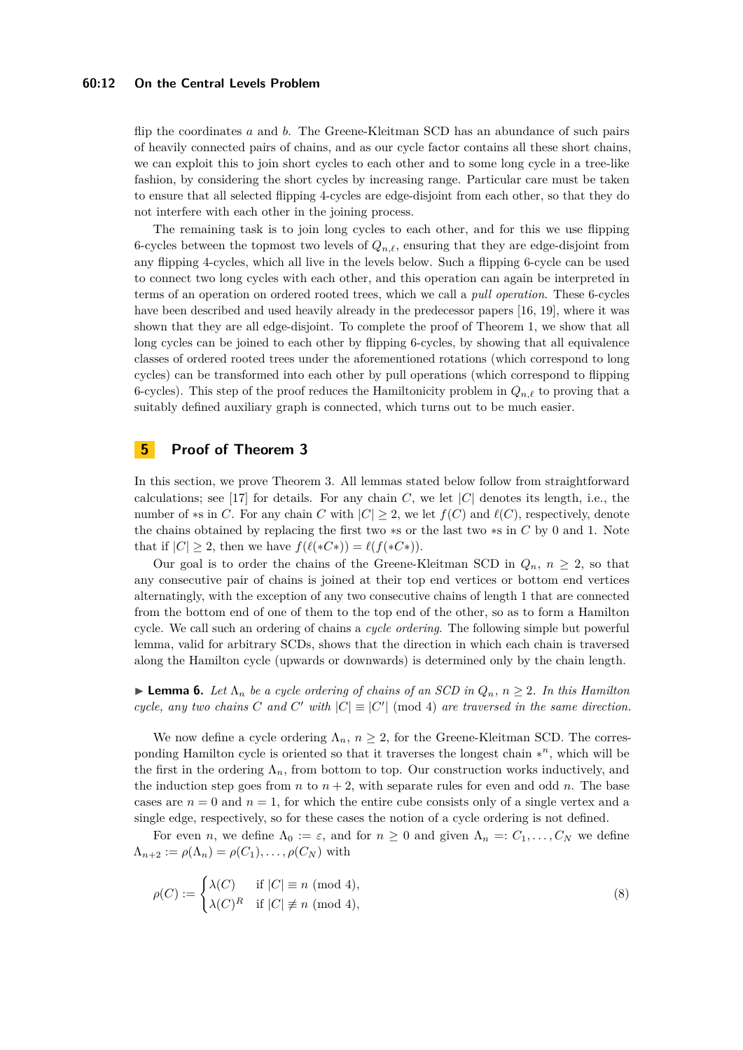#### **60:12 On the Central Levels Problem**

flip the coordinates *a* and *b*. The Greene-Kleitman SCD has an abundance of such pairs of heavily connected pairs of chains, and as our cycle factor contains all these short chains, we can exploit this to join short cycles to each other and to some long cycle in a tree-like fashion, by considering the short cycles by increasing range. Particular care must be taken to ensure that all selected flipping 4-cycles are edge-disjoint from each other, so that they do not interfere with each other in the joining process.

The remaining task is to join long cycles to each other, and for this we use flipping 6-cycles between the topmost two levels of  $Q_{n,\ell}$ , ensuring that they are edge-disjoint from any flipping 4-cycles, which all live in the levels below. Such a flipping 6-cycle can be used to connect two long cycles with each other, and this operation can again be interpreted in terms of an operation on ordered rooted trees, which we call a *pull operation*. These 6-cycles have been described and used heavily already in the predecessor papers [\[16,](#page-15-12) [19\]](#page-15-9), where it was shown that they are all edge-disjoint. To complete the proof of Theorem [1,](#page-1-0) we show that all long cycles can be joined to each other by flipping 6-cycles, by showing that all equivalence classes of ordered rooted trees under the aforementioned rotations (which correspond to long cycles) can be transformed into each other by pull operations (which correspond to flipping 6-cycles). This step of the proof reduces the Hamiltonicity problem in  $Q_{n,\ell}$  to proving that a suitably defined auxiliary graph is connected, which turns out to be much easier.

## <span id="page-11-0"></span>**5 Proof of Theorem [3](#page-2-1)**

In this section, we prove Theorem [3.](#page-2-1) All lemmas stated below follow from straightforward calculations; see [\[17\]](#page-15-21) for details. For any chain  $C$ , we let  $|C|$  denotes its length, i.e., the number of  $*$ s in *C*. For any chain *C* with  $|C| \geq 2$ , we let  $f(C)$  and  $\ell(C)$ , respectively, denote the chains obtained by replacing the first two ∗s or the last two ∗s in *C* by 0 and 1. Note that if  $|C| \geq 2$ , then we have  $f(\ell(*C*) = \ell(f(*C*))$ .

Our goal is to order the chains of the Greene-Kleitman SCD in  $Q_n$ ,  $n \geq 2$ , so that any consecutive pair of chains is joined at their top end vertices or bottom end vertices alternatingly, with the exception of any two consecutive chains of length 1 that are connected from the bottom end of one of them to the top end of the other, so as to form a Hamilton cycle. We call such an ordering of chains a *cycle ordering*. The following simple but powerful lemma, valid for arbitrary SCDs, shows that the direction in which each chain is traversed along the Hamilton cycle (upwards or downwards) is determined only by the chain length.

<span id="page-11-1"></span>**Lemma 6.** Let  $\Lambda_n$  be a cycle ordering of chains of an SCD in  $Q_n$ ,  $n \geq 2$ . In this Hamilton *cycle, any two chains C* and *C*' with  $|C| \equiv |C'| \pmod{4}$  are traversed in the same direction.

We now define a cycle ordering  $\Lambda_n$ ,  $n \geq 2$ , for the Greene-Kleitman SCD. The corresponding Hamilton cycle is oriented so that it traverses the longest chain ∗ *<sup>n</sup>*, which will be the first in the ordering  $\Lambda_n$ , from bottom to top. Our construction works inductively, and the induction step goes from *n* to  $n + 2$ , with separate rules for even and odd *n*. The base cases are  $n = 0$  and  $n = 1$ , for which the entire cube consists only of a single vertex and a single edge, respectively, so for these cases the notion of a cycle ordering is not defined.

For even *n*, we define  $\Lambda_0 := \varepsilon$ , and for  $n \geq 0$  and given  $\Lambda_n =: C_1, \ldots, C_N$  we define  $\Lambda_{n+2} := \rho(\Lambda_n) = \rho(C_1), \ldots, \rho(C_N)$  with

<span id="page-11-2"></span>
$$
\rho(C) := \begin{cases} \lambda(C) & \text{if } |C| \equiv n \pmod{4}, \\ \lambda(C)^R & \text{if } |C| \not\equiv n \pmod{4}, \end{cases}
$$
\n(8)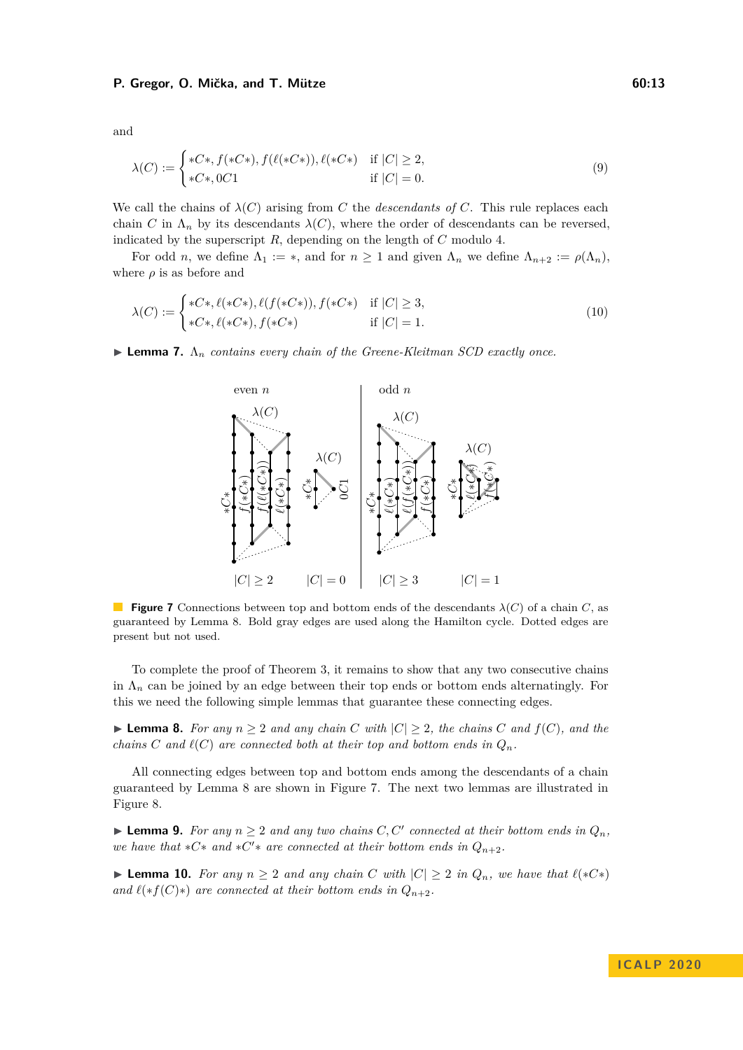<span id="page-12-4"></span>and

$$
\lambda(C) := \begin{cases}\n*C*, f(*C*), f(\ell(*C*)), \ell(*C*) & \text{if } |C| \ge 2, \\
*C*, 0C1 & \text{if } |C| = 0.\n\end{cases}
$$
\n(9)

We call the chains of  $\lambda(C)$  arising from *C* the *descendants of C*. This rule replaces each chain *C* in  $\Lambda_n$  by its descendants  $\lambda(C)$ , where the order of descendants can be reversed, indicated by the superscript *R*, depending on the length of *C* modulo 4.

For odd *n*, we define  $\Lambda_1 := *$ , and for  $n \geq 1$  and given  $\Lambda_n$  we define  $\Lambda_{n+2} := \rho(\Lambda_n)$ , where  $\rho$  is as before and

$$
\lambda(C) := \begin{cases}\n*C*, \ell(*C*), \ell(f(*C*)), f(*C*) & \text{if } |C| \ge 3, \\
*C*, \ell(*C*), f(*C*) & \text{if } |C| = 1.\n\end{cases}
$$
\n(10)

<span id="page-12-1"></span>**Lemma 7.**  $\Lambda_n$  contains every chain of the Greene-Kleitman SCD exactly once.

<span id="page-12-5"></span>

**Figure 7** Connections between top and bottom ends of the descendants  $\lambda(C)$  of a chain *C*, as guaranteed by Lemma [8.](#page-12-0) Bold gray edges are used along the Hamilton cycle. Dotted edges are present but not used.

To complete the proof of Theorem [3,](#page-2-1) it remains to show that any two consecutive chains in  $\Lambda_n$  can be joined by an edge between their top ends or bottom ends alternatingly. For this we need the following simple lemmas that guarantee these connecting edges.

<span id="page-12-0"></span>▶ **Lemma 8.** *For any*  $n \geq 2$  *and any chain*  $C$  *with*  $|C| \geq 2$ *, the chains*  $C$  *and*  $f(C)$ *, and the chains C* and  $\ell(C)$  are connected both at their top and bottom ends in  $Q_n$ .

All connecting edges between top and bottom ends among the descendants of a chain guaranteed by Lemma [8](#page-12-0) are shown in Figure [7.](#page-12-1) The next two lemmas are illustrated in Figure [8.](#page-13-0)

<span id="page-12-2"></span>▶ **Lemma 9.** *For any*  $n \geq 2$  *and any two chains C, C' connected at their bottom ends in*  $Q_n$ *, we have that*  $*C*$  *and*  $*C'*$  *are connected at their bottom ends in*  $Q_{n+2}$ *.* 

<span id="page-12-3"></span>▶ **Lemma 10.** *For any*  $n \geq 2$  *and any chain*  $C$  *with*  $|C| \geq 2$  *in*  $Q_n$ *, we have that*  $\ell(*C*)$ *and*  $\ell(*f(C)*)$  *are connected at their bottom ends in*  $Q_{n+2}$ *.*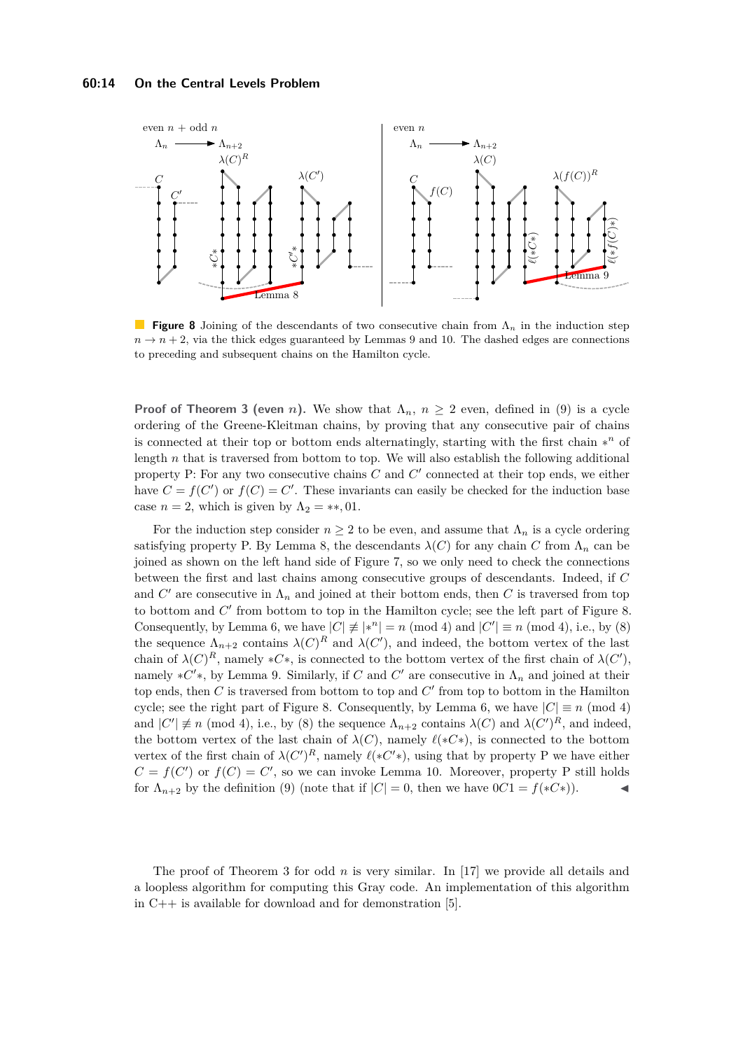<span id="page-13-0"></span>

**Figure 8** Joining of the descendants of two consecutive chain from Λ*<sup>n</sup>* in the induction step  $n \rightarrow n+2$ , via the thick edges guaranteed by Lemmas [9](#page-12-2) and [10.](#page-12-3) The dashed edges are connections to preceding and subsequent chains on the Hamilton cycle.

**Proof of Theorem [3](#page-2-1) (even** *n*). We show that  $\Lambda_n$ ,  $n \geq 2$  even, defined in [\(9\)](#page-12-4) is a cycle ordering of the Greene-Kleitman chains, by proving that any consecutive pair of chains is connected at their top or bottom ends alternatingly, starting with the first chain ∗ *<sup>n</sup>* of length *n* that is traversed from bottom to top. We will also establish the following additional property  $P$ : For any two consecutive chains  $C$  and  $C'$  connected at their top ends, we either have  $C = f(C')$  or  $f(C) = C'$ . These invariants can easily be checked for the induction base case  $n = 2$ , which is given by  $\Lambda_2 = **, 01$ .

For the induction step consider  $n \geq 2$  to be even, and assume that  $\Lambda_n$  is a cycle ordering satisfying property P. By Lemma [8,](#page-12-0) the descendants  $\lambda(C)$  for any chain C from  $\Lambda_n$  can be joined as shown on the left hand side of Figure [7,](#page-12-1) so we only need to check the connections between the first and last chains among consecutive groups of descendants. Indeed, if *C* and  $C'$  are consecutive in  $\Lambda_n$  and joined at their bottom ends, then  $C$  is traversed from top to bottom and  $C'$  from bottom to top in the Hamilton cycle; see the left part of Figure [8.](#page-13-0) Consequently, by Lemma [6,](#page-11-1) we have  $|C| \neq |*^n| = n \pmod{4}$  and  $|C'| \equiv n \pmod{4}$ , i.e., by [\(8\)](#page-11-2) the sequence  $\Lambda_{n+2}$  contains  $\lambda(C)^R$  and  $\lambda(C')$ , and indeed, the bottom vertex of the last chain of  $\lambda(C)^R$ , namely  $*C*$ , is connected to the bottom vertex of the first chain of  $\lambda(C')$ , namely  $*C'$ \*, by Lemma [9.](#page-12-2) Similarly, if *C* and *C'* are consecutive in  $\Lambda_n$  and joined at their top ends, then  $C$  is traversed from bottom to top and  $C'$  from top to bottom in the Hamilton cycle; see the right part of Figure [8.](#page-13-0) Consequently, by Lemma [6,](#page-11-1) we have  $|C| \equiv n \pmod{4}$ and  $|C'| \neq n \pmod{4}$ , i.e., by [\(8\)](#page-11-2) the sequence  $\Lambda_{n+2}$  contains  $\lambda(C)$  and  $\lambda(C')^R$ , and indeed, the bottom vertex of the last chain of  $\lambda(C)$ , namely  $\ell(*C*)$ , is connected to the bottom vertex of the first chain of  $\lambda(C')^R$ , namely  $\ell(*C'*)$ , using that by property P we have either  $C = f(C')$  or  $f(C) = C'$ , so we can invoke Lemma [10.](#page-12-3) Moreover, property P still holds for  $\Lambda_{n+2}$  by the definition [\(9\)](#page-12-4) (note that if  $|C| = 0$ , then we have  $0C1 = f(*C*)$ ).

The proof of Theorem [3](#page-2-1) for odd *n* is very similar. In [\[17\]](#page-15-21) we provide all details and a loopless algorithm for computing this Gray code. An implementation of this algorithm in  $C++$  is available for download and for demonstration [\[5\]](#page-14-13).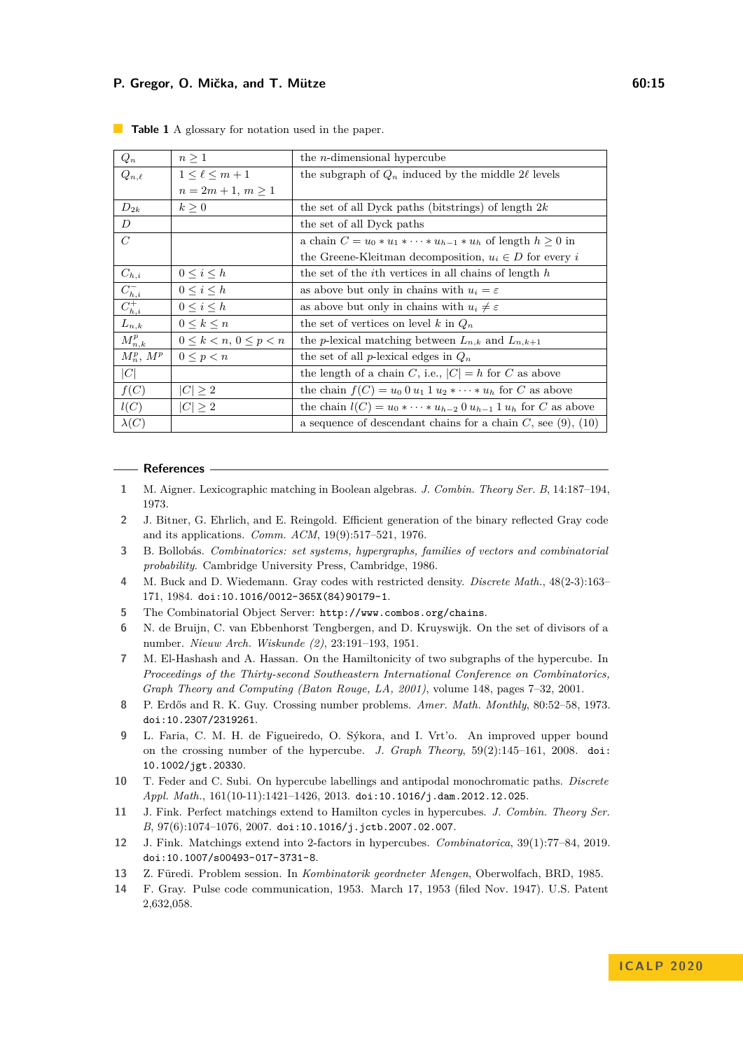| $Q_n$                         | $n \geq 1$                            | the $n$ -dimensional hypercube                                           |
|-------------------------------|---------------------------------------|--------------------------------------------------------------------------|
| $Q_{n,\ell}$                  | $1\leq \ell\leq m+1$                  | the subgraph of $Q_n$ induced by the middle 2 $\ell$ levels              |
|                               | $n = 2m + 1, m > 1$                   |                                                                          |
| $D_{2k}$                      | $k\geq 0$                             | the set of all Dyck paths (bitstrings) of length $2k$                    |
| D                             |                                       | the set of all Dyck paths                                                |
| $\,C$                         |                                       | a chain $C = u_0 * u_1 * \cdots * u_{h-1} * u_h$ of length $h \geq 0$ in |
|                               |                                       | the Greene-Kleitman decomposition, $u_i \in D$ for every i               |
| $C_{h,i}$                     | $0\leq i\leq h$                       | the set of the <i>i</i> th vertices in all chains of length $h$          |
|                               | $0 \leq i \leq h$                     | as above but only in chains with $u_i = \varepsilon$                     |
| $\frac{C_{h,i}^-}{C_{h,i}^+}$ | $0\leq i\leq h$                       | as above but only in chains with $u_i \neq \varepsilon$                  |
| $L_{n,k}$                     | $0\leq k\leq n$                       | the set of vertices on level k in $Q_n$                                  |
| $M_{n,k}^p$                   | $0 \leq k \leq n, \, 0 \leq p \leq n$ | the <i>p</i> -lexical matching between $L_{n,k}$ and $L_{n,k+1}$         |
| $M_n^p$ , $M^p$               | $0 \leq p < n$                        | the set of all <i>p</i> -lexical edges in $Q_n$                          |
| C                             |                                       | the length of a chain C, i.e., $ C  = h$ for C as above                  |
| f(C)                          | $ C  \geq 2$                          | the chain $f(C) = u_0 0 u_1 1 u_2 \cdots u_h$ for C as above             |
| l(C)                          | $ C  \geq 2$                          | the chain $l(C) = u_0 * \cdots * u_{h-2} 0 u_{h-1} 1 u_h$ for C as above |
| $\lambda(C)$                  |                                       | a sequence of descendant chains for a chain $C$ , see (9), (10)          |

<span id="page-14-14"></span>**Table 1** A glossary for notation used in the paper.

#### **References**

- <span id="page-14-10"></span>**1** M. Aigner. Lexicographic matching in Boolean algebras. *J. Combin. Theory Ser. B*, 14:187–194, 1973.
- <span id="page-14-12"></span>**2** J. Bitner, G. Ehrlich, and E. Reingold. Efficient generation of the binary reflected Gray code and its applications. *Comm. ACM*, 19(9):517–521, 1976.
- <span id="page-14-9"></span>**3** B. Bollobás. *Combinatorics: set systems, hypergraphs, families of vectors and combinatorial probability*. Cambridge University Press, Cambridge, 1986.
- <span id="page-14-7"></span>**4** M. Buck and D. Wiedemann. Gray codes with restricted density. *Discrete Math.*, 48(2-3):163– 171, 1984. [doi:10.1016/0012-365X\(84\)90179-1](https://doi.org/10.1016/0012-365X(84)90179-1).
- <span id="page-14-13"></span>**5** The Combinatorial Object Server: <http://www.combos.org/chains>.
- <span id="page-14-11"></span>**6** N. de Bruijn, C. van Ebbenhorst Tengbergen, and D. Kruyswijk. On the set of divisors of a number. *Nieuw Arch. Wiskunde (2)*, 23:191–193, 1951.
- <span id="page-14-8"></span>**7** M. El-Hashash and A. Hassan. On the Hamiltonicity of two subgraphs of the hypercube. In *Proceedings of the Thirty-second Southeastern International Conference on Combinatorics, Graph Theory and Computing (Baton Rouge, LA, 2001)*, volume 148, pages 7–32, 2001.
- <span id="page-14-0"></span>**8** P. Erdős and R. K. Guy. Crossing number problems. *Amer. Math. Monthly*, 80:52–58, 1973. [doi:10.2307/2319261](https://doi.org/10.2307/2319261).
- <span id="page-14-1"></span>**9** L. Faria, C. M. H. de Figueiredo, O. Sýkora, and I. Vrt'o. An improved upper bound on the crossing number of the hypercube. *J. Graph Theory*, 59(2):145–161, 2008. [doi:](https://doi.org/10.1002/jgt.20330) [10.1002/jgt.20330](https://doi.org/10.1002/jgt.20330).
- <span id="page-14-5"></span>**10** T. Feder and C. Subi. On hypercube labellings and antipodal monochromatic paths. *Discrete Appl. Math.*, 161(10-11):1421–1426, 2013. [doi:10.1016/j.dam.2012.12.025](https://doi.org/10.1016/j.dam.2012.12.025).
- <span id="page-14-3"></span>**11** J. Fink. Perfect matchings extend to Hamilton cycles in hypercubes. *J. Combin. Theory Ser. B*, 97(6):1074–1076, 2007. [doi:10.1016/j.jctb.2007.02.007](https://doi.org/10.1016/j.jctb.2007.02.007).
- <span id="page-14-4"></span>**12** J. Fink. Matchings extend into 2-factors in hypercubes. *Combinatorica*, 39(1):77–84, 2019. [doi:10.1007/s00493-017-3731-8](https://doi.org/10.1007/s00493-017-3731-8).
- <span id="page-14-2"></span>**13** Z. Füredi. Problem session. In *Kombinatorik geordneter Mengen*, Oberwolfach, BRD, 1985.
- <span id="page-14-6"></span>**14** F. Gray. Pulse code communication, 1953. March 17, 1953 (filed Nov. 1947). U.S. Patent 2,632,058.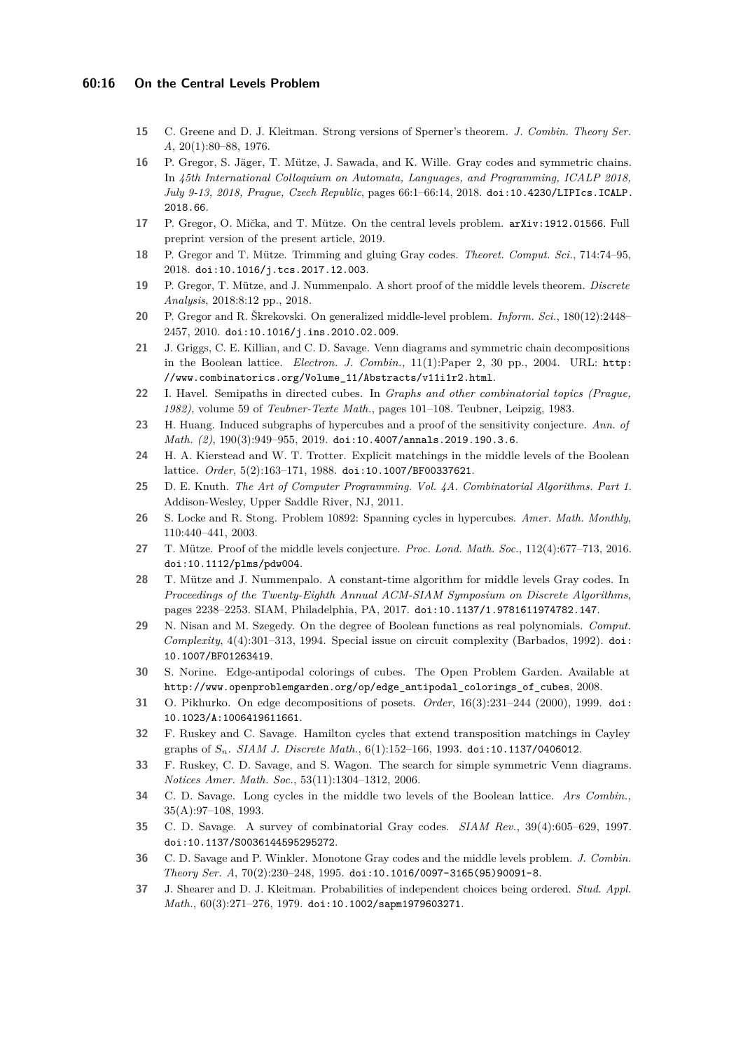#### **60:16 On the Central Levels Problem**

- <span id="page-15-15"></span>**15** C. Greene and D. J. Kleitman. Strong versions of Sperner's theorem. *J. Combin. Theory Ser. A*, 20(1):80–88, 1976.
- <span id="page-15-12"></span>**16** P. Gregor, S. Jäger, T. Mütze, J. Sawada, and K. Wille. Gray codes and symmetric chains. In *45th International Colloquium on Automata, Languages, and Programming, ICALP 2018, July 9-13, 2018, Prague, Czech Republic*, pages 66:1–66:14, 2018. [doi:10.4230/LIPIcs.ICALP.](https://doi.org/10.4230/LIPIcs.ICALP.2018.66) [2018.66](https://doi.org/10.4230/LIPIcs.ICALP.2018.66).
- <span id="page-15-21"></span>**17** P. Gregor, O. Mička, and T. Mütze. On the central levels problem. [arXiv:1912.01566](https://arxiv.org/abs/1912.01566). Full preprint version of the present article, 2019.
- <span id="page-15-14"></span>**18** P. Gregor and T. Mütze. Trimming and gluing Gray codes. *Theoret. Comput. Sci.*, 714:74–95, 2018. [doi:10.1016/j.tcs.2017.12.003](https://doi.org/10.1016/j.tcs.2017.12.003).
- <span id="page-15-9"></span>**19** P. Gregor, T. Mütze, and J. Nummenpalo. A short proof of the middle levels theorem. *Discrete Analysis*, 2018:8:12 pp., 2018.
- <span id="page-15-11"></span>**20** P. Gregor and R. Škrekovski. On generalized middle-level problem. *Inform. Sci.*, 180(12):2448– 2457, 2010. [doi:10.1016/j.ins.2010.02.009](https://doi.org/10.1016/j.ins.2010.02.009).
- <span id="page-15-16"></span>**21** J. Griggs, C. E. Killian, and C. D. Savage. Venn diagrams and symmetric chain decompositions in the Boolean lattice. *Electron. J. Combin.*, 11(1):Paper 2, 30 pp., 2004. URL: [http:](http://www.combinatorics.org/Volume_11/Abstracts/v11i1r2.html) [//www.combinatorics.org/Volume\\_11/Abstracts/v11i1r2.html](http://www.combinatorics.org/Volume_11/Abstracts/v11i1r2.html).
- <span id="page-15-7"></span>**22** I. Havel. Semipaths in directed cubes. In *Graphs and other combinatorial topics (Prague, 1982)*, volume 59 of *Teubner-Texte Math.*, pages 101–108. Teubner, Leipzig, 1983.
- <span id="page-15-1"></span>**23** H. Huang. Induced subgraphs of hypercubes and a proof of the sensitivity conjecture. *Ann. of Math. (2)*, 190(3):949–955, 2019. [doi:10.4007/annals.2019.190.3.6](https://doi.org/10.4007/annals.2019.190.3.6).
- <span id="page-15-22"></span>**24** H. A. Kierstead and W. T. Trotter. Explicit matchings in the middle levels of the Boolean lattice. *Order*, 5(2):163–171, 1988. [doi:10.1007/BF00337621](https://doi.org/10.1007/BF00337621).
- <span id="page-15-6"></span>**25** D. E. Knuth. *The Art of Computer Programming. Vol. 4A. Combinatorial Algorithms. Part 1*. Addison-Wesley, Upper Saddle River, NJ, 2011.
- <span id="page-15-13"></span>**26** S. Locke and R. Stong. Problem 10892: Spanning cycles in hypercubes. *Amer. Math. Monthly*, 110:440–441, 2003.
- <span id="page-15-8"></span>**27** T. Mütze. Proof of the middle levels conjecture. *Proc. Lond. Math. Soc.*, 112(4):677–713, 2016. [doi:10.1112/plms/pdw004](https://doi.org/10.1112/plms/pdw004).
- <span id="page-15-20"></span>**28** T. Mütze and J. Nummenpalo. A constant-time algorithm for middle levels Gray codes. In *Proceedings of the Twenty-Eighth Annual ACM-SIAM Symposium on Discrete Algorithms*, pages 2238–2253. SIAM, Philadelphia, PA, 2017. [doi:10.1137/1.9781611974782.147](https://doi.org/10.1137/1.9781611974782.147).
- <span id="page-15-0"></span>**29** N. Nisan and M. Szegedy. On the degree of Boolean functions as real polynomials. *Comput. Complexity*, 4(4):301–313, 1994. Special issue on circuit complexity (Barbados, 1992). [doi:](https://doi.org/10.1007/BF01263419) [10.1007/BF01263419](https://doi.org/10.1007/BF01263419).
- <span id="page-15-4"></span>**30** S. Norine. Edge-antipodal colorings of cubes. The Open Problem Garden. Available at [http://www.openproblemgarden.org/op/edge\\_antipodal\\_colorings\\_of\\_cubes](http://www.openproblemgarden.org/op/edge_antipodal_colorings_of_cubes), 2008.
- <span id="page-15-18"></span>**31** O. Pikhurko. On edge decompositions of posets. *Order*, 16(3):231–244 (2000), 1999. [doi:](https://doi.org/10.1023/A:1006419611661) [10.1023/A:1006419611661](https://doi.org/10.1023/A:1006419611661).
- <span id="page-15-3"></span>**32** F. Ruskey and C. Savage. Hamilton cycles that extend transposition matchings in Cayley graphs of *Sn*. *SIAM J. Discrete Math.*, 6(1):152–166, 1993. [doi:10.1137/0406012](https://doi.org/10.1137/0406012).
- <span id="page-15-17"></span>**33** F. Ruskey, C. D. Savage, and S. Wagon. The search for simple symmetric Venn diagrams. *Notices Amer. Math. Soc.*, 53(11):1304–1312, 2006.
- <span id="page-15-10"></span>**34** C. D. Savage. Long cycles in the middle two levels of the Boolean lattice. *Ars Combin.*, 35(A):97–108, 1993.
- <span id="page-15-5"></span>**35** C. D. Savage. A survey of combinatorial Gray codes. *SIAM Rev.*, 39(4):605–629, 1997. [doi:10.1137/S0036144595295272](https://doi.org/10.1137/S0036144595295272).
- <span id="page-15-19"></span>**36** C. D. Savage and P. Winkler. Monotone Gray codes and the middle levels problem. *J. Combin. Theory Ser. A*, 70(2):230–248, 1995. [doi:10.1016/0097-3165\(95\)90091-8](https://doi.org/10.1016/0097-3165(95)90091-8).
- <span id="page-15-2"></span>**37** J. Shearer and D. J. Kleitman. Probabilities of independent choices being ordered. *Stud. Appl. Math.*, 60(3):271–276, 1979. [doi:10.1002/sapm1979603271](https://doi.org/10.1002/sapm1979603271).